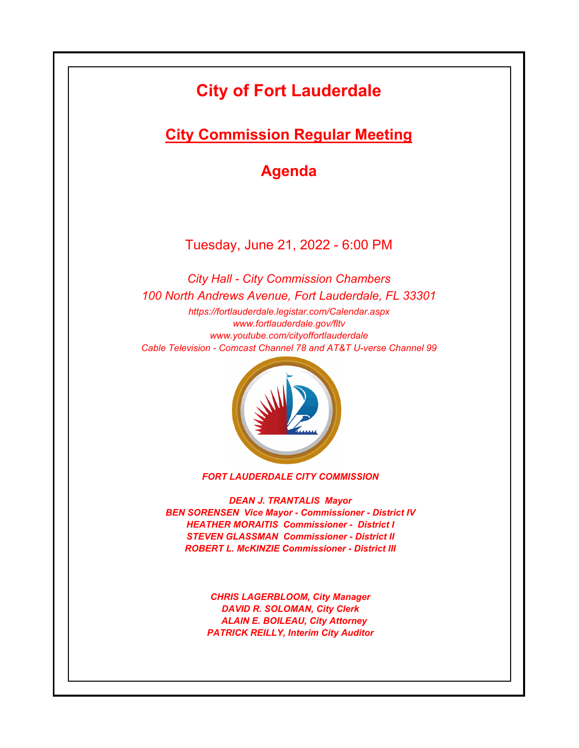# **City of Fort Lauderdale**

**City Commission Regular Meeting**

**Agenda**

Tuesday, June 21, 2022 - 6:00 PM

*https://fortlauderdale.legistar.com/Calendar.aspx www.fortlauderdale.gov/fltv www.youtube.com/cityoffortlauderdale Cable Television - Comcast Channel 78 and AT&T U-verse Channel 99 City Hall - City Commission Chambers 100 North Andrews Avenue, Fort Lauderdale, FL 33301*



*FORT LAUDERDALE CITY COMMISSION*

*DEAN J. TRANTALIS Mayor BEN SORENSEN Vice Mayor - Commissioner - District IV HEATHER MORAITIS Commissioner - District I STEVEN GLASSMAN Commissioner - District II ROBERT L. McKINZIE Commissioner - District III*

> *CHRIS LAGERBLOOM, City Manager DAVID R. SOLOMAN, City Clerk ALAIN E. BOILEAU, City Attorney PATRICK REILLY, Interim City Auditor*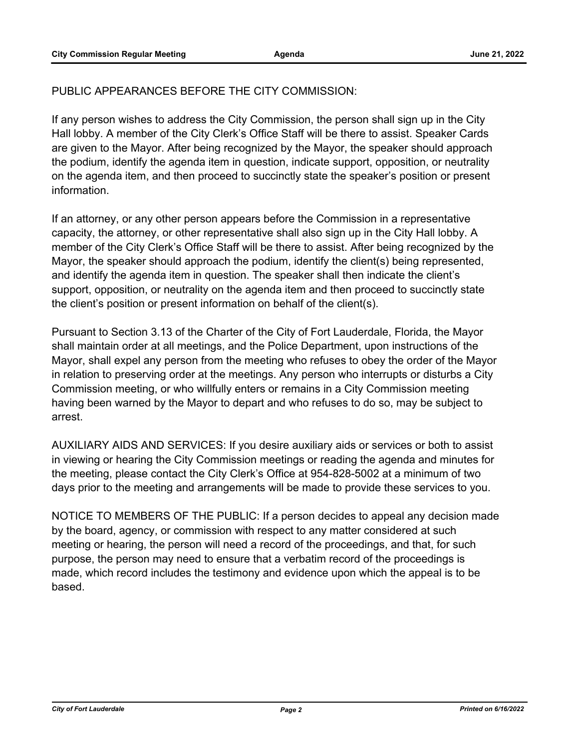# PUBLIC APPEARANCES BEFORE THE CITY COMMISSION:

If any person wishes to address the City Commission, the person shall sign up in the City Hall lobby. A member of the City Clerk's Office Staff will be there to assist. Speaker Cards are given to the Mayor. After being recognized by the Mayor, the speaker should approach the podium, identify the agenda item in question, indicate support, opposition, or neutrality on the agenda item, and then proceed to succinctly state the speaker's position or present information.

If an attorney, or any other person appears before the Commission in a representative capacity, the attorney, or other representative shall also sign up in the City Hall lobby. A member of the City Clerk's Office Staff will be there to assist. After being recognized by the Mayor, the speaker should approach the podium, identify the client(s) being represented, and identify the agenda item in question. The speaker shall then indicate the client's support, opposition, or neutrality on the agenda item and then proceed to succinctly state the client's position or present information on behalf of the client(s).

Pursuant to Section 3.13 of the Charter of the City of Fort Lauderdale, Florida, the Mayor shall maintain order at all meetings, and the Police Department, upon instructions of the Mayor, shall expel any person from the meeting who refuses to obey the order of the Mayor in relation to preserving order at the meetings. Any person who interrupts or disturbs a City Commission meeting, or who willfully enters or remains in a City Commission meeting having been warned by the Mayor to depart and who refuses to do so, may be subject to arrest.

AUXILIARY AIDS AND SERVICES: If you desire auxiliary aids or services or both to assist in viewing or hearing the City Commission meetings or reading the agenda and minutes for the meeting, please contact the City Clerk's Office at 954-828-5002 at a minimum of two days prior to the meeting and arrangements will be made to provide these services to you.

NOTICE TO MEMBERS OF THE PUBLIC: If a person decides to appeal any decision made by the board, agency, or commission with respect to any matter considered at such meeting or hearing, the person will need a record of the proceedings, and that, for such purpose, the person may need to ensure that a verbatim record of the proceedings is made, which record includes the testimony and evidence upon which the appeal is to be based.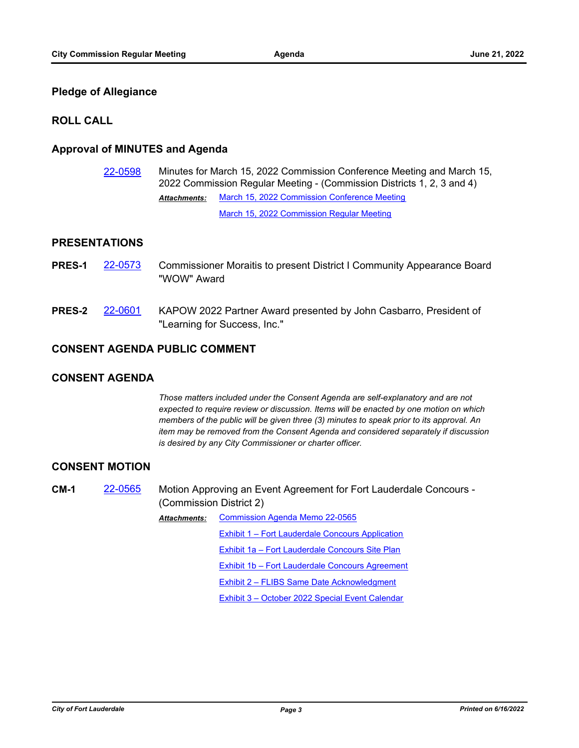### **Pledge of Allegiance**

#### **ROLL CALL**

# **Approval of MINUTES and Agenda**

[22-0598](http://fortlauderdale.legistar.com/gateway.aspx?m=l&id=/matter.aspx?key=16718) Minutes for March 15, 2022 Commission Conference Meeting and March 15, 2022 Commission Regular Meeting - (Commission Districts 1, 2, 3 and 4) [March 15, 2022 Commission Conference Meeting](http://FortLauderdale.legistar.com/gateway.aspx?M=F&ID=20a81668-72df-4b49-b647-076e3ee32a75.pdf) [March 15, 2022 Commission Regular Meeting](http://FortLauderdale.legistar.com/gateway.aspx?M=F&ID=c530e87e-094c-4dd0-b60c-c2d187ad51f0.pdf) *Attachments:*

#### **PRESENTATIONS**

- **PRES-1** [22-0573](http://fortlauderdale.legistar.com/gateway.aspx?m=l&id=/matter.aspx?key=16693) Commissioner Moraitis to present District I Community Appearance Board "WOW" Award
- **PRES-2** [22-0601](http://fortlauderdale.legistar.com/gateway.aspx?m=l&id=/matter.aspx?key=16721) KAPOW 2022 Partner Award presented by John Casbarro, President of "Learning for Success, Inc."

#### **CONSENT AGENDA PUBLIC COMMENT**

#### **CONSENT AGENDA**

*Those matters included under the Consent Agenda are self-explanatory and are not expected to require review or discussion. Items will be enacted by one motion on which members of the public will be given three (3) minutes to speak prior to its approval. An item may be removed from the Consent Agenda and considered separately if discussion is desired by any City Commissioner or charter officer.*

#### **CONSENT MOTION**

**CM-1** [22-0565](http://fortlauderdale.legistar.com/gateway.aspx?m=l&id=/matter.aspx?key=16685) Motion Approving an Event Agreement for Fort Lauderdale Concours - (Commission District 2)

> [Commission Agenda Memo 22-0565](http://FortLauderdale.legistar.com/gateway.aspx?M=F&ID=086ed676-dccf-4bd7-ab89-88b951c39b7f.docx) *Attachments:*

> > [Exhibit 1 – Fort Lauderdale Concours Application](http://FortLauderdale.legistar.com/gateway.aspx?M=F&ID=2fc60cb4-9364-4c79-ba37-876bf09012d8.pdf)

[Exhibit 1a – Fort Lauderdale Concours Site Plan](http://FortLauderdale.legistar.com/gateway.aspx?M=F&ID=360bdcb1-9d16-4fe3-b712-bf4c40e35247.pdf)

[Exhibit 1b – Fort Lauderdale Concours Agreement](http://FortLauderdale.legistar.com/gateway.aspx?M=F&ID=156576f9-1285-4386-9ce6-515fa7c6b950.pdf)

[Exhibit 2 – FLIBS Same Date Acknowledgment](http://FortLauderdale.legistar.com/gateway.aspx?M=F&ID=0d481f66-cebf-49f7-bdbf-351479eaa19a.pdf)

[Exhibit 3 – October 2022 Special Event Calendar](http://FortLauderdale.legistar.com/gateway.aspx?M=F&ID=2716cbd7-a982-49ba-bdc4-1ffdcacea516.pdf)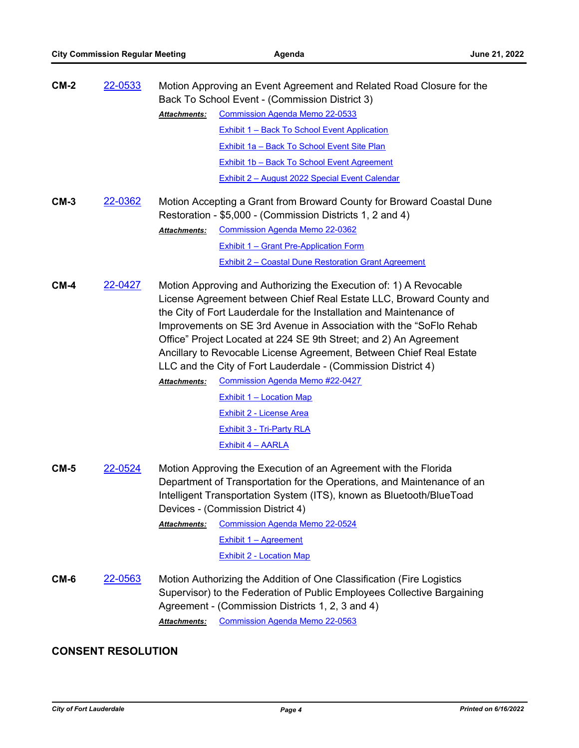| $CM-2$ | 22-0533 |                     | Motion Approving an Event Agreement and Related Road Closure for the<br>Back To School Event - (Commission District 3)                                                                                                                                                                                                                                                                                                                                                                                                                       |
|--------|---------|---------------------|----------------------------------------------------------------------------------------------------------------------------------------------------------------------------------------------------------------------------------------------------------------------------------------------------------------------------------------------------------------------------------------------------------------------------------------------------------------------------------------------------------------------------------------------|
|        |         | <b>Attachments:</b> | <b>Commission Agenda Memo 22-0533</b>                                                                                                                                                                                                                                                                                                                                                                                                                                                                                                        |
|        |         |                     | <b>Exhibit 1 - Back To School Event Application</b>                                                                                                                                                                                                                                                                                                                                                                                                                                                                                          |
|        |         |                     | Exhibit 1a - Back To School Event Site Plan                                                                                                                                                                                                                                                                                                                                                                                                                                                                                                  |
|        |         |                     | <b>Exhibit 1b - Back To School Event Agreement</b>                                                                                                                                                                                                                                                                                                                                                                                                                                                                                           |
|        |         |                     | <b>Exhibit 2 - August 2022 Special Event Calendar</b>                                                                                                                                                                                                                                                                                                                                                                                                                                                                                        |
| $CM-3$ | 22-0362 | Attachments:        | Motion Accepting a Grant from Broward County for Broward Coastal Dune<br>Restoration - \$5,000 - (Commission Districts 1, 2 and 4)<br><b>Commission Agenda Memo 22-0362</b><br><b>Exhibit 1 - Grant Pre-Application Form</b><br><b>Exhibit 2 - Coastal Dune Restoration Grant Agreement</b>                                                                                                                                                                                                                                                  |
| $CM-4$ | 22-0427 | Attachments:        | Motion Approving and Authorizing the Execution of: 1) A Revocable<br>License Agreement between Chief Real Estate LLC, Broward County and<br>the City of Fort Lauderdale for the Installation and Maintenance of<br>Improvements on SE 3rd Avenue in Association with the "SoFlo Rehab<br>Office" Project Located at 224 SE 9th Street; and 2) An Agreement<br>Ancillary to Revocable License Agreement, Between Chief Real Estate<br>LLC and the City of Fort Lauderdale - (Commission District 4)<br><b>Commission Agenda Memo #22-0427</b> |
|        |         |                     | <b>Exhibit 1 - Location Map</b>                                                                                                                                                                                                                                                                                                                                                                                                                                                                                                              |
|        |         |                     | <b>Exhibit 2 - License Area</b>                                                                                                                                                                                                                                                                                                                                                                                                                                                                                                              |
|        |         |                     | <b>Exhibit 3 - Tri-Party RLA</b>                                                                                                                                                                                                                                                                                                                                                                                                                                                                                                             |
|        |         |                     |                                                                                                                                                                                                                                                                                                                                                                                                                                                                                                                                              |
| $CM-5$ | 22-0524 | Attachments:        | <b>Exhibit 4 - AARLA</b><br>Motion Approving the Execution of an Agreement with the Florida<br>Department of Transportation for the Operations, and Maintenance of an<br>Intelligent Transportation System (ITS), known as Bluetooth/BlueToad<br>Devices - (Commission District 4)<br><b>Commission Agenda Memo 22-0524</b>                                                                                                                                                                                                                  |
|        |         |                     | <b>Exhibit 1 - Agreement</b>                                                                                                                                                                                                                                                                                                                                                                                                                                                                                                                 |
|        |         |                     | <b>Exhibit 2 - Location Map</b>                                                                                                                                                                                                                                                                                                                                                                                                                                                                                                              |
| CM-6   | 22-0563 | <b>Attachments:</b> | Motion Authorizing the Addition of One Classification (Fire Logistics<br>Supervisor) to the Federation of Public Employees Collective Bargaining<br>Agreement - (Commission Districts 1, 2, 3 and 4)<br><b>Commission Agenda Memo 22-0563</b>                                                                                                                                                                                                                                                                                                |

# **CONSENT RESOLUTION**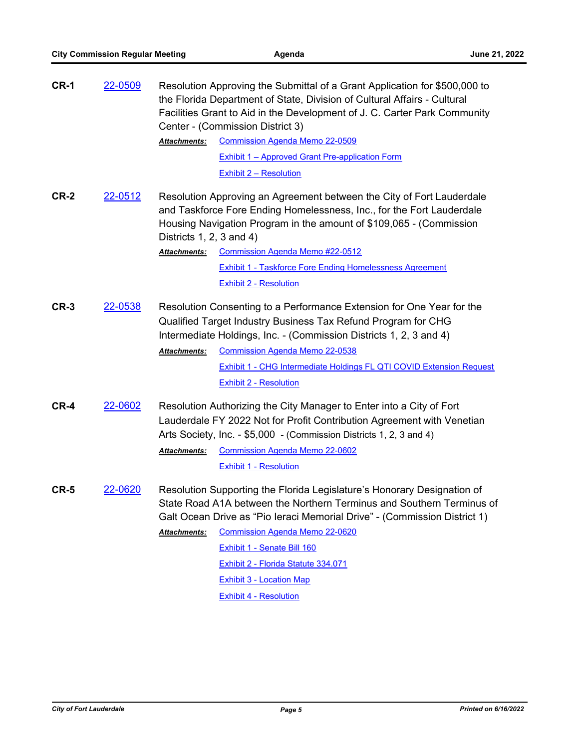| <b>CR-1</b> | 22-0509 |                              | Resolution Approving the Submittal of a Grant Application for \$500,000 to<br>the Florida Department of State, Division of Cultural Affairs - Cultural<br>Facilities Grant to Aid in the Development of J. C. Carter Park Community<br>Center - (Commission District 3)                                                                                               |
|-------------|---------|------------------------------|-----------------------------------------------------------------------------------------------------------------------------------------------------------------------------------------------------------------------------------------------------------------------------------------------------------------------------------------------------------------------|
|             |         | Attachments:                 | <b>Commission Agenda Memo 22-0509</b>                                                                                                                                                                                                                                                                                                                                 |
|             |         |                              | <b>Exhibit 1 - Approved Grant Pre-application Form</b>                                                                                                                                                                                                                                                                                                                |
|             |         |                              | <b>Exhibit 2 - Resolution</b>                                                                                                                                                                                                                                                                                                                                         |
| <b>CR-2</b> | 22-0512 | Districts $1, 2, 3$ and $4)$ | Resolution Approving an Agreement between the City of Fort Lauderdale<br>and Taskforce Fore Ending Homelessness, Inc., for the Fort Lauderdale<br>Housing Navigation Program in the amount of \$109,065 - (Commission                                                                                                                                                 |
|             |         | Attachments:                 | <b>Commission Agenda Memo #22-0512</b>                                                                                                                                                                                                                                                                                                                                |
|             |         |                              | <b>Exhibit 1 - Taskforce Fore Ending Homelessness Agreement</b>                                                                                                                                                                                                                                                                                                       |
|             |         |                              | <b>Exhibit 2 - Resolution</b>                                                                                                                                                                                                                                                                                                                                         |
| $CR-3$      | 22-0538 | <b>Attachments:</b>          | Resolution Consenting to a Performance Extension for One Year for the<br>Qualified Target Industry Business Tax Refund Program for CHG<br>Intermediate Holdings, Inc. - (Commission Districts 1, 2, 3 and 4)<br><b>Commission Agenda Memo 22-0538</b><br><b>Exhibit 1 - CHG Intermediate Holdings FL QTI COVID Extension Request</b><br><b>Exhibit 2 - Resolution</b> |
| $CR-4$      | 22-0602 |                              | Resolution Authorizing the City Manager to Enter into a City of Fort<br>Lauderdale FY 2022 Not for Profit Contribution Agreement with Venetian<br>Arts Society, Inc. - \$5,000 - (Commission Districts 1, 2, 3 and 4)                                                                                                                                                 |
|             |         | Attachments:                 | <b>Commission Agenda Memo 22-0602</b>                                                                                                                                                                                                                                                                                                                                 |
|             |         |                              | <b>Exhibit 1 - Resolution</b>                                                                                                                                                                                                                                                                                                                                         |
| <b>CR-5</b> | 22-0620 |                              | Resolution Supporting the Florida Legislature's Honorary Designation of<br>State Road A1A between the Northern Terminus and Southern Terminus of<br>Galt Ocean Drive as "Pio Ieraci Memorial Drive" - (Commission District 1)                                                                                                                                         |
|             |         | <b>Attachments:</b>          | <b>Commission Agenda Memo 22-0620</b>                                                                                                                                                                                                                                                                                                                                 |
|             |         |                              | Exhibit 1 - Senate Bill 160                                                                                                                                                                                                                                                                                                                                           |
|             |         |                              | Exhibit 2 - Florida Statute 334.071                                                                                                                                                                                                                                                                                                                                   |
|             |         |                              | <b>Exhibit 3 - Location Map</b>                                                                                                                                                                                                                                                                                                                                       |
|             |         |                              | <b>Exhibit 4 - Resolution</b>                                                                                                                                                                                                                                                                                                                                         |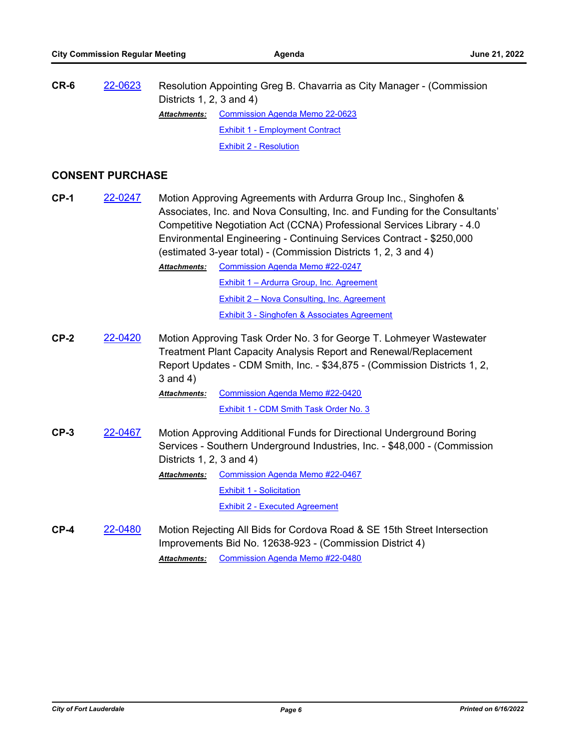| CR-6 | 22-0623 | Districts 1, 2, 3 and 4) | Resolution Appointing Greg B. Chavarria as City Manager - (Commission |
|------|---------|--------------------------|-----------------------------------------------------------------------|
|      |         | <b>Attachments:</b>      | <b>Commission Agenda Memo 22-0623</b>                                 |
|      |         |                          | <b>Exhibit 1 - Employment Contract</b>                                |
|      |         |                          | Exhibit 2 - Resolution                                                |

# **CONSENT PURCHASE**

| <b>CP-1</b> | 22-0247 |                                     | Motion Approving Agreements with Ardurra Group Inc., Singhofen &<br>Associates, Inc. and Nova Consulting, Inc. and Funding for the Consultants'<br>Competitive Negotiation Act (CCNA) Professional Services Library - 4.0<br>Environmental Engineering - Continuing Services Contract - \$250,000<br>(estimated 3-year total) - (Commission Districts 1, 2, 3 and 4) |
|-------------|---------|-------------------------------------|----------------------------------------------------------------------------------------------------------------------------------------------------------------------------------------------------------------------------------------------------------------------------------------------------------------------------------------------------------------------|
|             |         | <b>Attachments:</b>                 | Commission Agenda Memo #22-0247                                                                                                                                                                                                                                                                                                                                      |
|             |         |                                     | Exhibit 1 - Ardurra Group, Inc. Agreement                                                                                                                                                                                                                                                                                                                            |
|             |         |                                     | <b>Exhibit 2 - Nova Consulting, Inc. Agreement</b>                                                                                                                                                                                                                                                                                                                   |
|             |         |                                     | Exhibit 3 - Singhofen & Associates Agreement                                                                                                                                                                                                                                                                                                                         |
| $CP-2$      | 22-0420 | $3$ and $4)$<br><b>Attachments:</b> | Motion Approving Task Order No. 3 for George T. Lohmeyer Wastewater<br>Treatment Plant Capacity Analysis Report and Renewal/Replacement<br>Report Updates - CDM Smith, Inc. - \$34,875 - (Commission Districts 1, 2,<br><b>Commission Agenda Memo #22-0420</b>                                                                                                       |
|             |         |                                     | Exhibit 1 - CDM Smith Task Order No. 3                                                                                                                                                                                                                                                                                                                               |
| $CP-3$      | 22-0467 | Districts $1, 2, 3$ and $4)$        | Motion Approving Additional Funds for Directional Underground Boring<br>Services - Southern Underground Industries, Inc. - \$48,000 - (Commission                                                                                                                                                                                                                    |
|             |         | <b>Attachments:</b>                 | <b>Commission Agenda Memo #22-0467</b>                                                                                                                                                                                                                                                                                                                               |
|             |         |                                     | <b>Exhibit 1 - Solicitation</b>                                                                                                                                                                                                                                                                                                                                      |
|             |         |                                     | <b>Exhibit 2 - Executed Agreement</b>                                                                                                                                                                                                                                                                                                                                |
| $CP-4$      | 22-0480 |                                     | Motion Rejecting All Bids for Cordova Road & SE 15th Street Intersection<br>Improvements Bid No. 12638-923 - (Commission District 4)                                                                                                                                                                                                                                 |

*Attachments:* [Commission Agenda Memo #22-0480](http://FortLauderdale.legistar.com/gateway.aspx?M=F&ID=d7261801-6c82-4ecf-a6f9-3bdd9fed78b7.docx)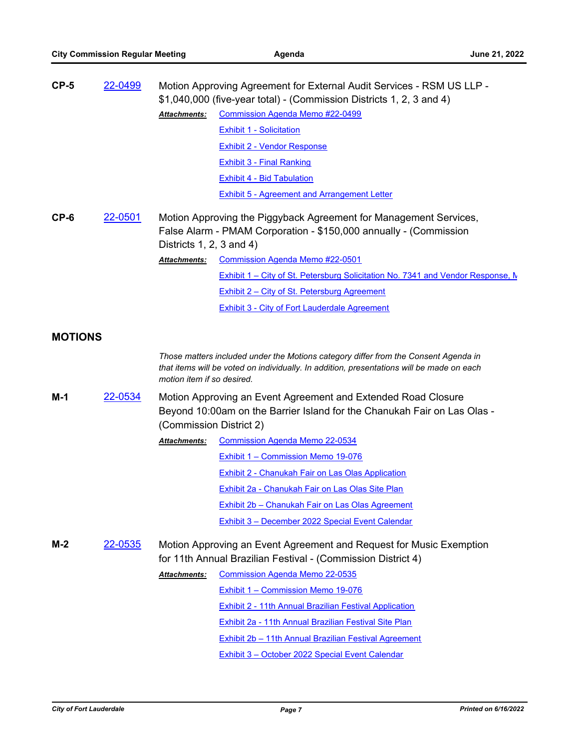|                | 22-0499 |                              | Motion Approving Agreement for External Audit Services - RSM US LLP -<br>\$1,040,000 (five-year total) - (Commission Districts 1, 2, 3 and 4)                                    |
|----------------|---------|------------------------------|----------------------------------------------------------------------------------------------------------------------------------------------------------------------------------|
|                |         | <b>Attachments:</b>          | <b>Commission Agenda Memo #22-0499</b>                                                                                                                                           |
|                |         |                              | <b>Exhibit 1 - Solicitation</b>                                                                                                                                                  |
|                |         |                              | Exhibit 2 - Vendor Response                                                                                                                                                      |
|                |         |                              | <b>Exhibit 3 - Final Ranking</b>                                                                                                                                                 |
|                |         |                              | <b>Exhibit 4 - Bid Tabulation</b>                                                                                                                                                |
|                |         |                              | <b>Exhibit 5 - Agreement and Arrangement Letter</b>                                                                                                                              |
|                |         |                              |                                                                                                                                                                                  |
| $CP-6$         | 22-0501 |                              | Motion Approving the Piggyback Agreement for Management Services,                                                                                                                |
|                |         | Districts $1, 2, 3$ and $4)$ | False Alarm - PMAM Corporation - \$150,000 annually - (Commission                                                                                                                |
|                |         | <b>Attachments:</b>          | Commission Agenda Memo #22-0501                                                                                                                                                  |
|                |         |                              | Exhibit 1 – City of St. Petersburg Solicitation No. 7341 and Vendor Response, M                                                                                                  |
|                |         |                              | <b>Exhibit 2 – City of St. Petersburg Agreement</b>                                                                                                                              |
|                |         |                              | Exhibit 3 - City of Fort Lauderdale Agreement                                                                                                                                    |
|                |         |                              |                                                                                                                                                                                  |
| <b>MOTIONS</b> |         |                              |                                                                                                                                                                                  |
|                |         | motion item if so desired.   | Those matters included under the Motions category differ from the Consent Agenda in<br>that items will be voted on individually. In addition, presentations will be made on each |
|                |         |                              |                                                                                                                                                                                  |
|                |         |                              |                                                                                                                                                                                  |
| $M-1$          | 22-0534 |                              | Motion Approving an Event Agreement and Extended Road Closure<br>Beyond 10:00am on the Barrier Island for the Chanukah Fair on Las Olas -                                        |
|                |         | (Commission District 2)      |                                                                                                                                                                                  |
|                |         | Attachments:                 | <b>Commission Agenda Memo 22-0534</b>                                                                                                                                            |
|                |         |                              | <b>Exhibit 1 - Commission Memo 19-076</b>                                                                                                                                        |
|                |         |                              | Exhibit 2 - Chanukah Fair on Las Olas Application                                                                                                                                |
|                |         |                              | <b>Exhibit 2a - Chanukah Fair on Las Olas Site Plan</b>                                                                                                                          |
|                |         |                              | Exhibit 2b - Chanukah Fair on Las Olas Agreement                                                                                                                                 |
|                |         |                              | Exhibit 3 - December 2022 Special Event Calendar                                                                                                                                 |
|                |         |                              |                                                                                                                                                                                  |
| $M-2$          | 22-0535 |                              | Motion Approving an Event Agreement and Request for Music Exemption                                                                                                              |
|                |         | Attachments:                 | for 11th Annual Brazilian Festival - (Commission District 4)<br><b>Commission Agenda Memo 22-0535</b>                                                                            |
|                |         |                              | Exhibit 1 - Commission Memo 19-076                                                                                                                                               |
|                |         |                              | Exhibit 2 - 11th Annual Brazilian Festival Application                                                                                                                           |
|                |         |                              | Exhibit 2a - 11th Annual Brazilian Festival Site Plan                                                                                                                            |
|                |         |                              | Exhibit 2b - 11th Annual Brazilian Festival Agreement                                                                                                                            |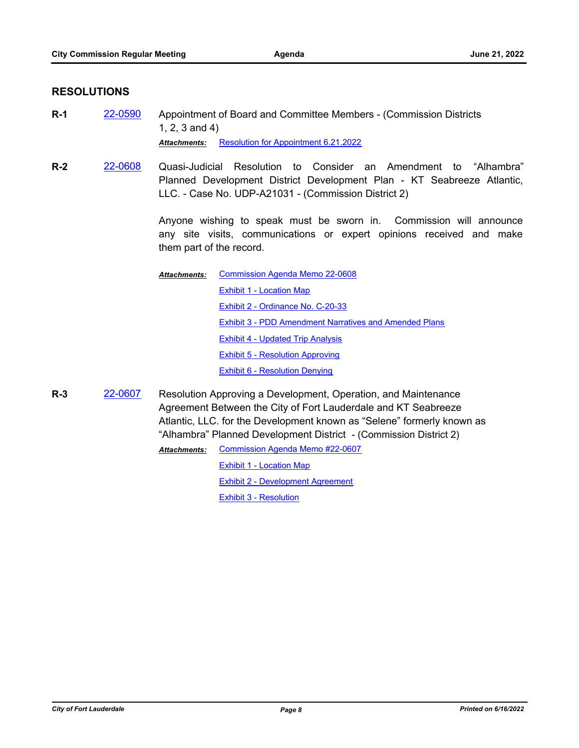#### **RESOLUTIONS**

- **R-1** [22-0590](http://fortlauderdale.legistar.com/gateway.aspx?m=l&id=/matter.aspx?key=16710) Appointment of Board and Committee Members (Commission Districts 1, 2, 3 and 4) *Attachments:* [Resolution for Appointment 6.21.2022](http://FortLauderdale.legistar.com/gateway.aspx?M=F&ID=08dfdfcc-bc94-4215-a4f5-add22033ca83.pdf)
- **R-2** [22-0608](http://fortlauderdale.legistar.com/gateway.aspx?m=l&id=/matter.aspx?key=16728) Quasi-Judicial Resolution to Consider an Amendment to "Alhambra" Planned Development District Development Plan - KT Seabreeze Atlantic, LLC. - Case No. UDP-A21031 - (Commission District 2)

Anyone wishing to speak must be sworn in. Commission will announce any site visits, communications or expert opinions received and make them part of the record.

[Commission Agenda Memo 22-0608](http://FortLauderdale.legistar.com/gateway.aspx?M=F&ID=e3e297a3-7a6c-465b-9e05-0371f2634b9b.docx) [Exhibit 1 - Location Map](http://FortLauderdale.legistar.com/gateway.aspx?M=F&ID=3d20eed0-ad08-4afc-995d-4068e11421a3.pdf) [Exhibit 2 - Ordinance No. C-20-33](http://FortLauderdale.legistar.com/gateway.aspx?M=F&ID=d5e9231c-caee-4bf4-b7e7-aa63309c3730.pdf) [Exhibit 3 - PDD Amendment Narratives and Amended Plans](http://FortLauderdale.legistar.com/gateway.aspx?M=F&ID=e4653ea1-e9a0-4b40-bc1a-2df4fc556493.pdf) [Exhibit 4 - Updated Trip Analysis](http://FortLauderdale.legistar.com/gateway.aspx?M=F&ID=e382722a-05ce-4abc-9781-28fe76560f84.pdf) [Exhibit 5 - Resolution Approving](http://FortLauderdale.legistar.com/gateway.aspx?M=F&ID=f1f210b7-2f6c-4012-a229-88ab001e2505.pdf) [Exhibit 6 - Resolution Denying](http://FortLauderdale.legistar.com/gateway.aspx?M=F&ID=0a50cbba-f6d1-4c5c-ac0c-a21e8cf1617f.pdf) *Attachments:*

**R-3** [22-0607](http://fortlauderdale.legistar.com/gateway.aspx?m=l&id=/matter.aspx?key=16727) Resolution Approving a Development, Operation, and Maintenance Agreement Between the City of Fort Lauderdale and KT Seabreeze Atlantic, LLC. for the Development known as "Selene" formerly known as "Alhambra" Planned Development District - (Commission District 2) [Commission Agenda Memo #22-0607](http://FortLauderdale.legistar.com/gateway.aspx?M=F&ID=63b4301a-0297-4765-9562-ea5d08bd6d95.docx) [Exhibit 1 - Location Map](http://FortLauderdale.legistar.com/gateway.aspx?M=F&ID=36e16fc5-0c87-4238-b3df-30192829c0ab.pdf) [Exhibit 2 - Development Agreement](http://FortLauderdale.legistar.com/gateway.aspx?M=F&ID=423da337-9b81-471c-8d6d-da881987fc38.pdf) [Exhibit 3 - Resolution](http://FortLauderdale.legistar.com/gateway.aspx?M=F&ID=28b2efff-a21b-4ef8-8cf1-033a433f6d71.pdf) *Attachments:*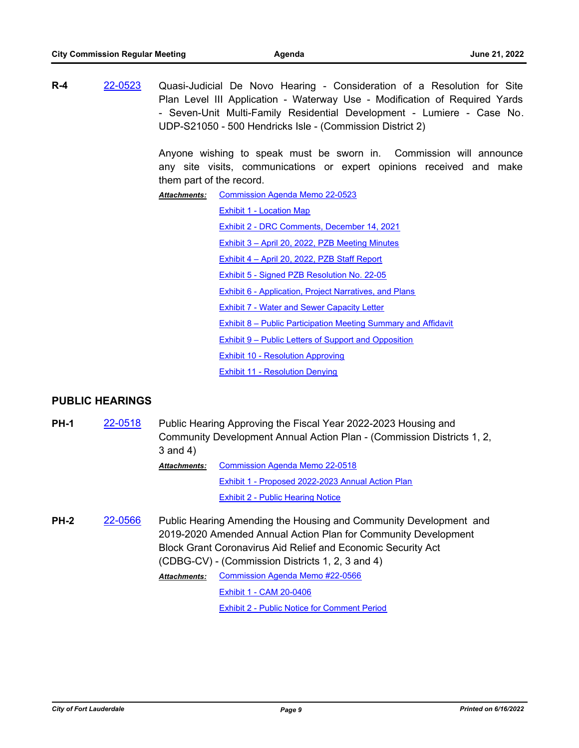**R-4** [22-0523](http://fortlauderdale.legistar.com/gateway.aspx?m=l&id=/matter.aspx?key=16643) Quasi-Judicial De Novo Hearing - Consideration of a Resolution for Site Plan Level III Application - Waterway Use - Modification of Required Yards - Seven-Unit Multi-Family Residential Development - Lumiere - Case No. UDP-S21050 - 500 Hendricks Isle - (Commission District 2)

> Anyone wishing to speak must be sworn in. Commission will announce any site visits, communications or expert opinions received and make them part of the record.

[Commission Agenda Memo 22-0523](http://FortLauderdale.legistar.com/gateway.aspx?M=F&ID=518c4c7e-c5b6-4a27-9413-8e64971730ee.docx) *Attachments:*

[Exhibit 1 - Location Map](http://FortLauderdale.legistar.com/gateway.aspx?M=F&ID=84903829-9d44-426d-b9f5-3aaec15fd6d4.pdf)

[Exhibit 2 - DRC Comments, December 14, 2021](http://FortLauderdale.legistar.com/gateway.aspx?M=F&ID=b5ebcaa8-d758-4e6b-b488-8ecacf327d96.pdf)

[Exhibit 3 – April 20, 2022, PZB Meeting Minutes](http://FortLauderdale.legistar.com/gateway.aspx?M=F&ID=c43597d8-5f17-4f2d-b150-888837c0f253.pdf)

[Exhibit 4 – April 20, 2022, PZB Staff Report](http://FortLauderdale.legistar.com/gateway.aspx?M=F&ID=430dc470-02fd-45ba-b9d2-60c53101298b.pdf)

[Exhibit 5 - Signed PZB Resolution No. 22-05](http://FortLauderdale.legistar.com/gateway.aspx?M=F&ID=fbd6320d-b70a-448e-befd-56d0657c0064.pdf)

[Exhibit 6 - Application, Project Narratives, and Plans](http://FortLauderdale.legistar.com/gateway.aspx?M=F&ID=2ae97db7-18c2-4d2e-9897-d46d54d1373c.pdf)

[Exhibit 7 - Water and Sewer Capacity Letter](http://FortLauderdale.legistar.com/gateway.aspx?M=F&ID=f71375b8-bfb2-428e-9532-05fa13d7a3fd.pdf)

[Exhibit 8 – Public Participation Meeting Summary and Affidavit](http://FortLauderdale.legistar.com/gateway.aspx?M=F&ID=007838ac-4f59-46bd-8f85-fcd79edba6ac.pdf)

[Exhibit 9 – Public Letters of Support and Opposition](http://FortLauderdale.legistar.com/gateway.aspx?M=F&ID=a68d6050-f581-4690-b17e-cc9571f7d28c.pdf)

[Exhibit 10 - Resolution Approving](http://FortLauderdale.legistar.com/gateway.aspx?M=F&ID=84a27493-26e3-42f0-8f8c-503e8cd507ec.pdf)

[Exhibit 11 - Resolution Denying](http://FortLauderdale.legistar.com/gateway.aspx?M=F&ID=b1e717dc-572d-4e34-a63f-65344924619f.pdf)

# **PUBLIC HEARINGS**

**PH-1** [22-0518](http://fortlauderdale.legistar.com/gateway.aspx?m=l&id=/matter.aspx?key=16638) Public Hearing Approving the Fiscal Year 2022-2023 Housing and Community Development Annual Action Plan - (Commission Districts 1, 2, 3 and 4) [Commission Agenda Memo 22-0518](http://FortLauderdale.legistar.com/gateway.aspx?M=F&ID=29f39f55-721f-4bb6-98ed-36f50e776863.docx) [Exhibit 1 - Proposed 2022-2023 Annual Action Plan](http://FortLauderdale.legistar.com/gateway.aspx?M=F&ID=ed23afdc-15bb-4f5e-be8e-77b41bce9bc5.pdf) [Exhibit 2 - Public Hearing Notice](http://FortLauderdale.legistar.com/gateway.aspx?M=F&ID=ddee16fd-ac21-44c0-b3c4-e0c1a496131b.pdf) *Attachments:* **PH-2** [22-0566](http://fortlauderdale.legistar.com/gateway.aspx?m=l&id=/matter.aspx?key=16686) Public Hearing Amending the Housing and Community Development and 2019-2020 Amended Annual Action Plan for Community Development Block Grant Coronavirus Aid Relief and Economic Security Act (CDBG-CV) - (Commission Districts 1, 2, 3 and 4)

> [Commission Agenda Memo #22-0566](http://FortLauderdale.legistar.com/gateway.aspx?M=F&ID=e3e27bbd-2f13-45ab-a096-2240770e9977.docx) *Attachments:* [Exhibit 1 - CAM 20-0406](http://FortLauderdale.legistar.com/gateway.aspx?M=F&ID=4cbedb13-7104-42ef-bd5a-ddcc84bc8631.pdf)

> > [Exhibit 2 - Public Notice for Comment Period](http://FortLauderdale.legistar.com/gateway.aspx?M=F&ID=a379db5f-5aaa-4f44-99d8-81672b87dad9.pdf)